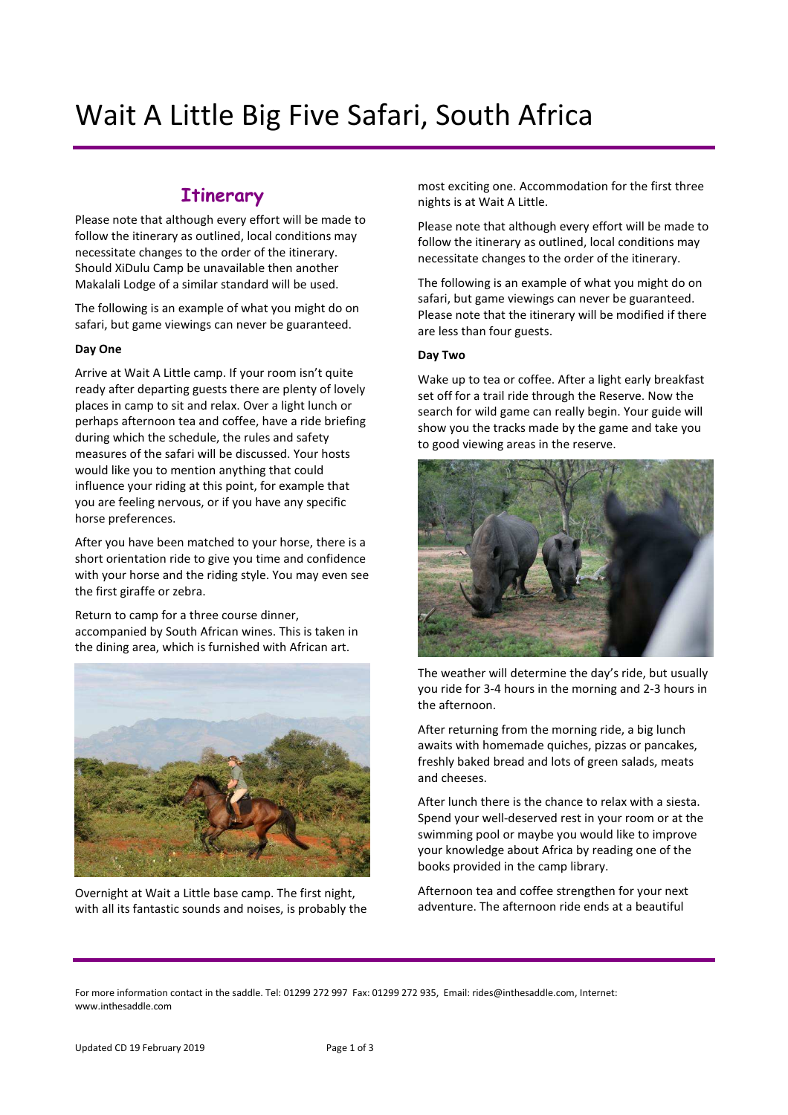# Wait A Little Big Five Safari, South Africa

# **Itinerary**

Please note that although every effort will be made to follow the itinerary as outlined, local conditions may necessitate changes to the order of the itinerary. Should XiDulu Camp be unavailable then another Makalali Lodge of a similar standard will be used.

The following is an example of what you might do on safari, but game viewings can never be guaranteed.

# Day One

Arrive at Wait A Little camp. If your room isn't quite ready after departing guests there are plenty of lovely places in camp to sit and relax. Over a light lunch or perhaps afternoon tea and coffee, have a ride briefing during which the schedule, the rules and safety measures of the safari will be discussed. Your hosts would like you to mention anything that could influence your riding at this point, for example that you are feeling nervous, or if you have any specific horse preferences.

After you have been matched to your horse, there is a short orientation ride to give you time and confidence with your horse and the riding style. You may even see the first giraffe or zebra.

Return to camp for a three course dinner, accompanied by South African wines. This is taken in the dining area, which is furnished with African art.



Overnight at Wait a Little base camp. The first night, with all its fantastic sounds and noises, is probably the

most exciting one. Accommodation for the first three nights is at Wait A Little.

Please note that although every effort will be made to follow the itinerary as outlined, local conditions may necessitate changes to the order of the itinerary.

The following is an example of what you might do on safari, but game viewings can never be guaranteed. Please note that the itinerary will be modified if there are less than four guests.

# Day Two

Wake up to tea or coffee. After a light early breakfast set off for a trail ride through the Reserve. Now the search for wild game can really begin. Your guide will show you the tracks made by the game and take you to good viewing areas in the reserve.



The weather will determine the day's ride, but usually you ride for 3-4 hours in the morning and 2-3 hours in the afternoon.

After returning from the morning ride, a big lunch awaits with homemade quiches, pizzas or pancakes, freshly baked bread and lots of green salads, meats and cheeses.

After lunch there is the chance to relax with a siesta. Spend your well-deserved rest in your room or at the swimming pool or maybe you would like to improve your knowledge about Africa by reading one of the books provided in the camp library.

Afternoon tea and coffee strengthen for your next adventure. The afternoon ride ends at a beautiful

For more information contact in the saddle. Tel: 01299 272 997 Fax: 01299 272 935, Email: rides@inthesaddle.com, Internet: www.inthesaddle.com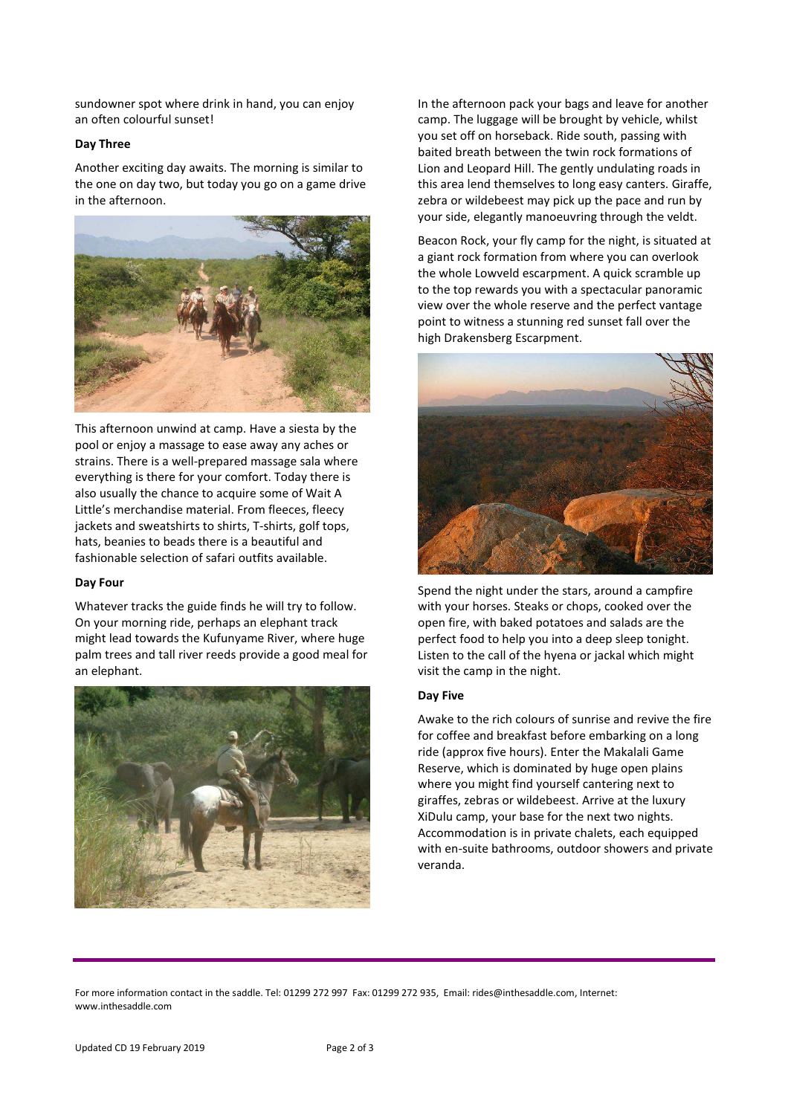sundowner spot where drink in hand, you can enjoy an often colourful sunset!

#### Day Three

Another exciting day awaits. The morning is similar to the one on day two, but today you go on a game drive in the afternoon.



This afternoon unwind at camp. Have a siesta by the pool or enjoy a massage to ease away any aches or strains. There is a well-prepared massage sala where everything is there for your comfort. Today there is also usually the chance to acquire some of Wait A Little's merchandise material. From fleeces, fleecy jackets and sweatshirts to shirts, T-shirts, golf tops, hats, beanies to beads there is a beautiful and fashionable selection of safari outfits available.

#### Day Four

Whatever tracks the guide finds he will try to follow. On your morning ride, perhaps an elephant track might lead towards the Kufunyame River, where huge palm trees and tall river reeds provide a good meal for an elephant.



In the afternoon pack your bags and leave for another camp. The luggage will be brought by vehicle, whilst you set off on horseback. Ride south, passing with baited breath between the twin rock formations of Lion and Leopard Hill. The gently undulating roads in this area lend themselves to long easy canters. Giraffe, zebra or wildebeest may pick up the pace and run by your side, elegantly manoeuvring through the veldt.

Beacon Rock, your fly camp for the night, is situated at a giant rock formation from where you can overlook the whole Lowveld escarpment. A quick scramble up to the top rewards you with a spectacular panoramic view over the whole reserve and the perfect vantage point to witness a stunning red sunset fall over the high Drakensberg Escarpment.



Spend the night under the stars, around a campfire with your horses. Steaks or chops, cooked over the open fire, with baked potatoes and salads are the perfect food to help you into a deep sleep tonight. Listen to the call of the hyena or jackal which might visit the camp in the night.

#### Day Five

Awake to the rich colours of sunrise and revive the fire for coffee and breakfast before embarking on a long ride (approx five hours). Enter the Makalali Game Reserve, which is dominated by huge open plains where you might find yourself cantering next to giraffes, zebras or wildebeest. Arrive at the luxury XiDulu camp, your base for the next two nights. Accommodation is in private chalets, each equipped with en-suite bathrooms, outdoor showers and private veranda.

For more information contact in the saddle. Tel: 01299 272 997 Fax: 01299 272 935, Email: rides@inthesaddle.com, Internet: www.inthesaddle.com